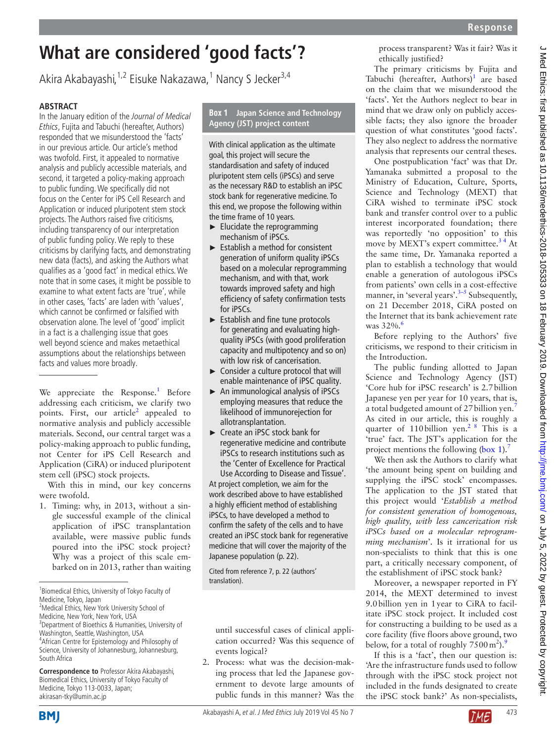## **What are considered 'good facts'?**

Akira Akabayashi,<sup>1,2</sup> Eisuke Nakazawa,<sup>1</sup> Nancy S Jecker<sup>3,4</sup>

## **Abstract**

In the January edition of the Journal of Medical Ethics, Fujita and Tabuchi (hereafter, Authors) responded that we misunderstood the 'facts' in our previous article. Our article's method was twofold. First, it appealed to normative analysis and publicly accessible materials, and second, it targeted a policy-making approach to public funding. We specifically did not focus on the Center for iPS Cell Research and Application or induced pluripotent stem stock projects. The Authors raised five criticisms, including transparency of our interpretation of public funding policy. We reply to these criticisms by clarifying facts, and demonstrating new data (facts), and asking the Authors what qualifies as a 'good fact' in medical ethics. We note that in some cases, it might be possible to examine to what extent facts are 'true', while in other cases, 'facts' are laden with 'values', which cannot be confirmed or falsified with observation alone. The level of 'good' implicit in a fact is a challenging issue that goes well beyond science and makes metaethical assumptions about the relationships between facts and values more broadly.

We appreciate the Response.<sup>[1](#page-2-0)</sup> Before addressing each criticism, we clarify two points. First, our article<sup>2</sup> appealed to normative analysis and publicly accessible materials. Second, our central target was a policy-making approach to public funding, not Center for iPS Cell Research and Application (CiRA) or induced pluripotent stem cell (iPSC) stock projects.

With this in mind, our key concerns were twofold.

1. Timing: why, in 2013, without a single successful example of the clinical application of iPSC transplantation available, were massive public funds poured into the iPSC stock project? Why was a project of this scale embarked on in 2013, rather than waiting

**Correspondence to** Professor Akira Akabayashi, Biomedical Ethics, University of Tokyo Faculty of Medicine, Tokyo 113-0033, Japan; akirasan-tky@umin.ac.jp

**Box 1 Japan Science and Technology Agency (JST) project content**

<span id="page-0-0"></span>With clinical application as the ultimate goal, this project will secure the standardisation and safety of induced pluripotent stem cells (iPSCs) and serve as the necessary R&D to establish an iPSC stock bank for regenerative medicine. To this end, we propose the following within the time frame of 10 years.

- ► Elucidate the reprogramming mechanism of iPSCs.
- ► Establish a method for consistent generation of uniform quality iPSCs based on a molecular reprogramming mechanism, and with that, work towards improved safety and high efficiency of safety confirmation tests for iPSCs.
- ► Establish and fine tune protocols for generating and evaluating highquality iPSCs (with good proliferation capacity and multipotency and so on) with low risk of cancerisation.
- ► Consider a culture protocol that will enable maintenance of iPSC quality.
- ► An immunological analysis of iPSCs employing measures that reduce the likelihood of immunorejection for allotransplantation.
- ► Create an iPSC stock bank for regenerative medicine and contribute iPSCs to research institutions such as the 'Center of Excellence for Practical Use According to Disease and Tissue'.

At project completion, we aim for the work described above to have established a highly efficient method of establishing iPSCs, to have developed a method to confirm the safety of the cells and to have created an iPSC stock bank for regenerative medicine that will cover the majority of the Japanese population (p. 22).

Cited from reference 7, p. 22 (authors' translation).

until successful cases of clinical application occurred? Was this sequence of events logical?

2. Process: what was the decision-making process that led the Japanese government to devote large amounts of public funds in this manner? Was the

process transparent? Was it fair? Was it ethically justified?

The primary criticisms by Fujita and Tabuchi (hereafter, Authors)<sup>[1](#page-2-0)</sup> are based on the claim that we misunderstood the 'facts'. Yet the Authors neglect to bear in mind that we draw only on publicly accessible facts; they also ignore the broader question of what constitutes 'good facts'. They also neglect to address the normative analysis that represents our central theses.

One postpublication 'fact' was that Dr. Yamanaka submitted a proposal to the Ministry of Education, Culture, Sports, Science and Technology (MEXT) that CiRA wished to terminate iPSC stock bank and transfer control over to a public interest incorporated foundation; there was reportedly 'no opposition' to this move by MEXT's expert committee.<sup>34</sup> At the same time, Dr. Yamanaka reported a plan to establish a technology that would enable a generation of autologous iPSCs from patients' own cells in a cost-effective manner, in 'several years'.<sup>3-5</sup> Subsequently, on 21 December 2018, CiRA posted on the Internet that its bank achievement rate was 32%.<sup>[6](#page-2-3)</sup>

Before replying to the Authors' five criticisms, we respond to their criticism in the Introduction.

The public funding allotted to Japan Science and Technology Agency (JST) 'Core hub for iPSC research' is 2.7billion Japanese yen per year for 10 years, that is, a total budgeted amount of 2[7](#page-2-4) billion yen.<sup>7</sup> As cited in our article, this is roughly a quarter of 110 billion yen.<sup>[2 8](#page-2-1)</sup> This is a 'true' fact. The JST's application for the project mentions the following  $(box 1)$  $(box 1)$ .

We then ask the Authors to clarify what 'the amount being spent on building and supplying the iPSC stock' encompasses. The application to the JST stated that this project would '*Establish a method for consistent generation of homogenous, high quality, with less cancerization risk iPSCs based on a molecular reprogramming mechanism*'. Is it irrational for us non-specialists to think that this is one part, a critically necessary component, of the establishment of iPSC stock bank?

Moreover, a newspaper reported in FY 2014, the MEXT determined to invest 9.0billion yen in 1year to CiRA to facilitate iPSC stock project. It included cost for constructing a building to be used as a core facility (five floors above ground, two below, for a total of roughly  $7500 \text{ m}^2$ .

If this is a 'fact', then our question is: 'Are the infrastructure funds used to follow through with the iPSC stock project not included in the funds designated to create the iPSC stock bank?' As non-specialists,







<sup>&</sup>lt;sup>1</sup> Biomedical Ethics, University of Tokyo Faculty of Medicine, Tokyo, Japan

<sup>&</sup>lt;sup>2</sup>Medical Ethics, New York University School of Medicine, New York, New York, USA <sup>3</sup>Department of Bioethics & Humanities, University of Washington, Seattle, Washington, USA 4 African Centre for Epistemology and Philosophy of

Science, University of Johannesburg, Johannesburg, South Africa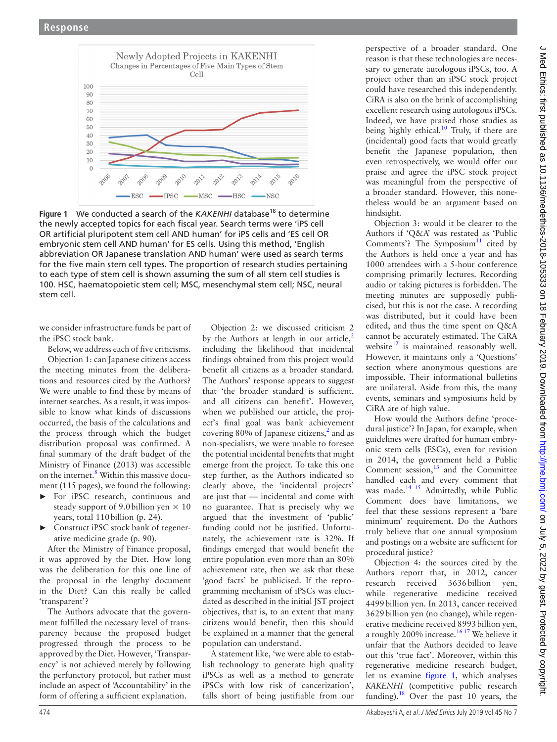

<span id="page-1-0"></span>Figure 1 We conducted a search of the *KAKENHI* database<sup>18</sup> to determine the newly accepted topics for each fiscal year. Search terms were 'iPS cell OR artificial pluripotent stem cell AND human' for iPS cells and 'ES cell OR embryonic stem cell AND human' for ES cells. Using this method, 'English abbreviation OR Japanese translation AND human' were used as search terms for the five main stem cell types. The proportion of research studies pertaining to each type of stem cell is shown assuming the sum of all stem cell studies is 100. HSC, haematopoietic stem cell; MSC, mesenchymal stem cell; NSC, neural stem cell.

we consider infrastructure funds be part of the iPSC stock bank.

Below, we address each of five criticisms.

Objection 1: can Japanese citizens access the meeting minutes from the deliberations and resources cited by the Authors? We were unable to find these by means of internet searches. As a result, it was impossible to know what kinds of discussions occurred, the basis of the calculations and the process through which the budget distribution proposal was confirmed. A final summary of the draft budget of the Ministry of Finance (2013) was accessible on the internet.<sup>[8](#page-2-6)</sup> Within this massive document (115 pages), we found the following:

- ► For iPSC research, continuous and steady support of 9.0 billion yen  $\times$  10 years, total 110billion (p. 24).
- ► Construct iPSC stock bank of regenerative medicine grade (p. 90).

After the Ministry of Finance proposal, it was approved by the Diet. How long was the deliberation for this one line of the proposal in the lengthy document in the Diet? Can this really be called 'transparent'?

The Authors advocate that the government fulfilled the necessary level of transparency because the proposed budget progressed through the process to be approved by the Diet. However, 'Transparency' is not achieved merely by following the perfunctory protocol, but rather must include an aspect of 'Accountability' in the form of offering a sufficient explanation.

Objection 2: we discussed criticism 2 by the Authors at length in our article, $<sup>2</sup>$ </sup> including the likelihood that incidental findings obtained from this project would benefit all citizens as a broader standard. The Authors' response appears to suggest that 'the broader standard is sufficient, and all citizens can benefit'. However, when we published our article, the project's final goal was bank achievement covering 80% of Japanese citizens, $3$  and as non-specialists, we were unable to foresee the potential incidental benefits that might emerge from the project. To take this one step further, as the Authors indicated so clearly above, the 'incidental projects' are just that — incidental and come with no guarantee. That is precisely why we argued that the investment of 'public' funding could not be justified. Unfortunately, the achievement rate is 32%. If findings emerged that would benefit the entire population even more than an 80% achievement rate, then we ask that these 'good facts' be publicised. If the reprogramming mechanism of iPSCs was elucidated as described in the initial JST project objectives, that is, to an extent that many citizens would benefit, then this should be explained in a manner that the general population can understand.

A statement like, 'we were able to establish technology to generate high quality iPSCs as well as a method to generate iPSCs with low risk of cancerization', falls short of being justifiable from our perspective of a broader standard. One reason is that these technologies are necessary to generate autologous iPSCs, too. A project other than an iPSC stock project could have researched this independently. CiRA is also on the brink of accomplishing excellent research using autologous iPSCs. Indeed, we have praised those studies as being highly ethical.<sup>[10](#page-2-7)</sup> Truly, if there are (incidental) good facts that would greatly benefit the Japanese population, then even retrospectively, we would offer our praise and agree the iPSC stock project was meaningful from the perspective of a broader standard. However, this nonetheless would be an argument based on hindsight.

Objection 3: would it be clearer to the Authors if 'Q&A' was restated as 'Public Comments'? The Symposium<sup>11</sup> cited by the Authors is held once a year and has 1000 attendees with a 5-hour conference comprising primarily lectures. Recording audio or taking pictures is forbidden. The meeting minutes are supposedly publicised, but this is not the case. A recording was distributed, but it could have been edited, and thus the time spent on Q&A cannot be accurately estimated. The CiRA website $12$  is maintained reasonably well. However, it maintains only a 'Questions' section where anonymous questions are impossible. Their informational bulletins are unilateral. Aside from this, the many events, seminars and symposiums held by CiRA are of high value.

How would the Authors define 'procedural justice'? In Japan, for example, when guidelines were drafted for human embryonic stem cells (ESCs), even for revision in 2014, the government held a Public Comment session, $13$  and the Committee handled each and every comment that was made.<sup>[14 15](#page-2-11)</sup> Admittedly, while Public Comment does have limitations, we feel that these sessions represent a 'bare minimum' requirement. Do the Authors truly believe that one annual symposium and postings on a website are sufficient for procedural justice?

Objection 4: the sources cited by the Authors report that, in 2012, cancer research received 3636billion yen, while regenerative medicine received 4499billion yen. In 2013, cancer received 3629billion yen (no change), while regenerative medicine received 8993billion yen, a roughly 200% increase.<sup>16 17</sup> We believe it unfair that the Authors decided to leave out this 'true fact'. Moreover, within this regenerative medicine research budget, let us examine [figure](#page-1-0) 1, which analyses *KAKENHI* (competitive public research funding).<sup>[18](#page-2-13)</sup> Over the past 10 years, the